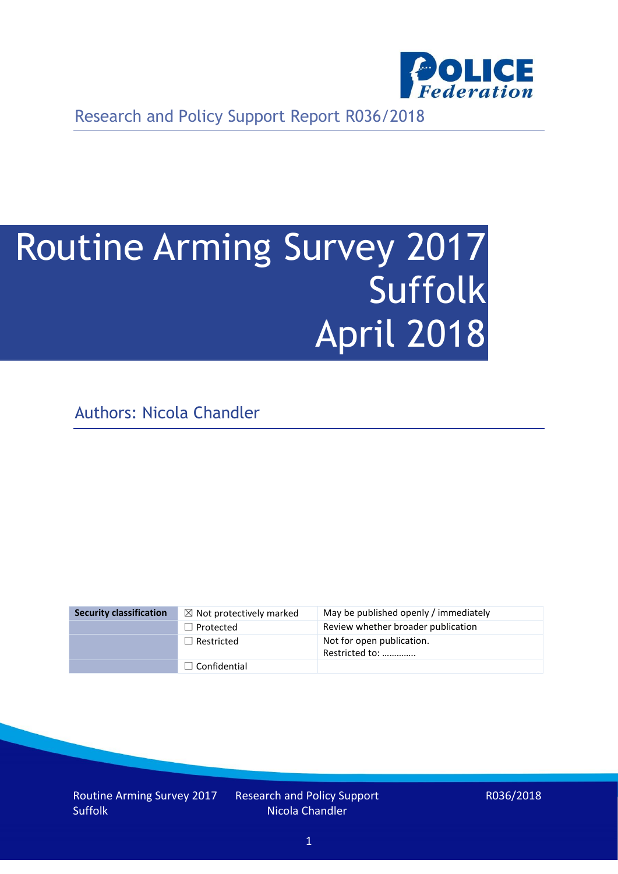

Research and Policy Support Report R036/2018

# Routine Arming Survey 2017 Suffolk April 2018

Authors: Nicola Chandler

| <b>Security classification</b> | $\boxtimes$ Not protectively marked | May be published openly / immediately       |
|--------------------------------|-------------------------------------|---------------------------------------------|
|                                | $\Box$ Protected                    | Review whether broader publication          |
|                                | $\Box$ Restricted                   | Not for open publication.<br>Restricted to: |
|                                | $\Box$ Confidential                 |                                             |

Routine Arming Survey 2017 Suffolk

Research and Policy Support Nicola Chandler

R036/2018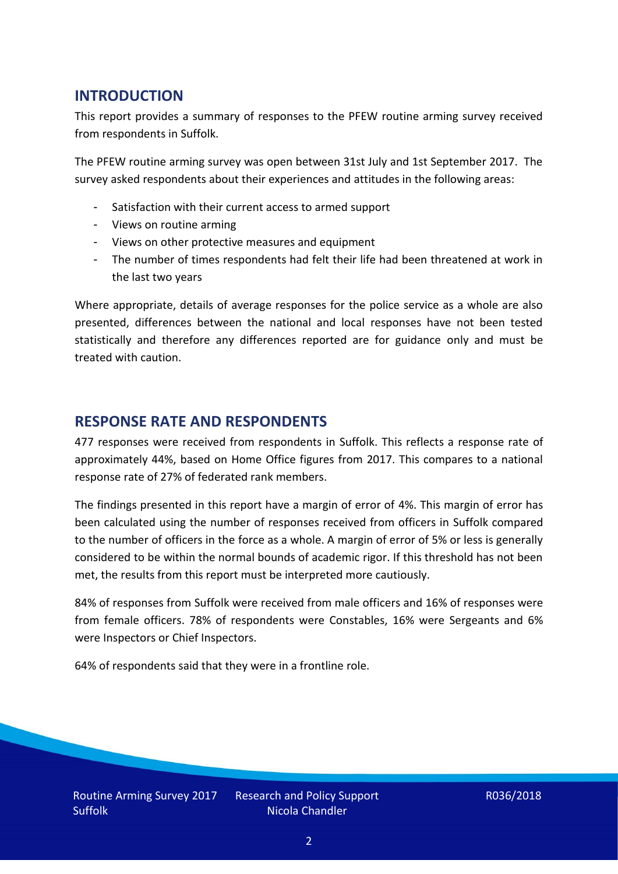## **INTRODUCTION**

This report provides a summary of responses to the PFEW routine arming survey received from respondents in Suffolk.

The PFEW routine arming survey was open between 31st July and 1st September 2017. The survey asked respondents about their experiences and attitudes in the following areas:

- Satisfaction with their current access to armed support
- Views on routine arming
- Views on other protective measures and equipment
- The number of times respondents had felt their life had been threatened at work in the last two years

Where appropriate, details of average responses for the police service as a whole are also presented, differences between the national and local responses have not been tested statistically and therefore any differences reported are for guidance only and must be treated with caution.

### **RESPONSE RATE AND RESPONDENTS**

477 responses were received from respondents in Suffolk. This reflects a response rate of approximately 44%, based on Home Office figures from 2017. This compares to a national response rate of 27% of federated rank members.

The findings presented in this report have a margin of error of 4%. This margin of error has been calculated using the number of responses received from officers in Suffolk compared to the number of officers in the force as a whole. A margin of error of 5% or less is generally considered to be within the normal bounds of academic rigor. If this threshold has not been met, the results from this report must be interpreted more cautiously.

84% of responses from Suffolk were received from male officers and 16% of responses were from female officers. 78% of respondents were Constables, 16% were Sergeants and 6% were Inspectors or Chief Inspectors.

64% of respondents said that they were in a frontline role.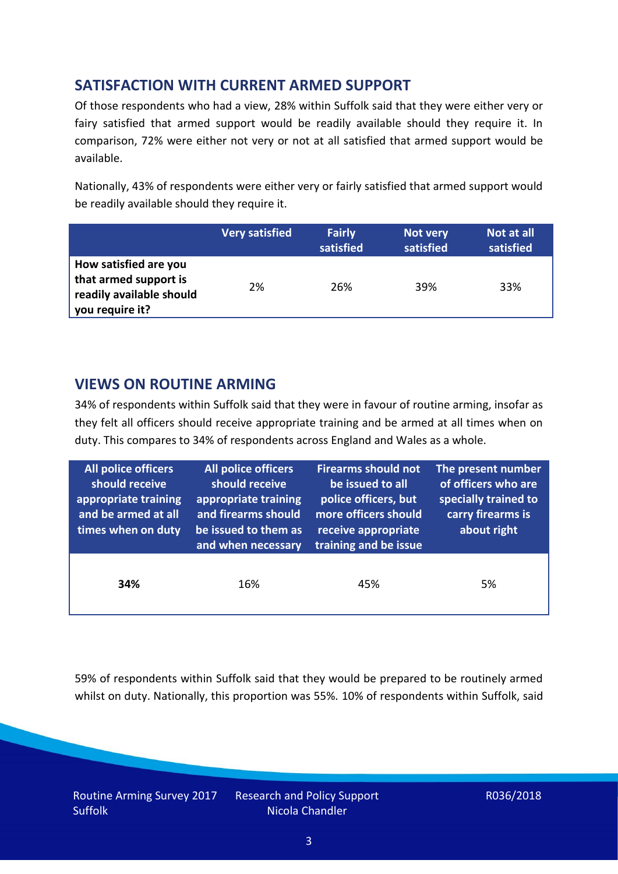# **SATISFACTION WITH CURRENT ARMED SUPPORT**

Of those respondents who had a view, 28% within Suffolk said that they were either very or fairy satisfied that armed support would be readily available should they require it. In comparison, 72% were either not very or not at all satisfied that armed support would be available.

Nationally, 43% of respondents were either very or fairly satisfied that armed support would be readily available should they require it.

|                                                                                               | <b>Very satisfied</b> | <b>Fairly</b><br>satisfied | Not very<br>satisfied | Not at all<br>satisfied |
|-----------------------------------------------------------------------------------------------|-----------------------|----------------------------|-----------------------|-------------------------|
| How satisfied are you<br>that armed support is<br>readily available should<br>you require it? | 2%                    | 26%                        | 39%                   | 33%                     |

## **VIEWS ON ROUTINE ARMING**

34% of respondents within Suffolk said that they were in favour of routine arming, insofar as they felt all officers should receive appropriate training and be armed at all times when on duty. This compares to 34% of respondents across England and Wales as a whole.

| All police officers<br>should receive<br>appropriate training<br>and be armed at all<br>times when on duty | All police officers<br>should receive<br>appropriate training<br>and firearms should<br>be issued to them as<br>and when necessary | <b>Firearms should not</b><br>be issued to all<br>police officers, but<br>more officers should<br>receive appropriate<br>training and be issue | The present number<br>of officers who are<br>specially trained to<br>carry firearms is<br>about right |  |
|------------------------------------------------------------------------------------------------------------|------------------------------------------------------------------------------------------------------------------------------------|------------------------------------------------------------------------------------------------------------------------------------------------|-------------------------------------------------------------------------------------------------------|--|
| 34%                                                                                                        | 16%                                                                                                                                | 45%                                                                                                                                            | 5%                                                                                                    |  |

59% of respondents within Suffolk said that they would be prepared to be routinely armed whilst on duty. Nationally, this proportion was 55%. 10% of respondents within Suffolk, said

Routine Arming Survey 2017 Suffolk

Research and Policy Support Nicola Chandler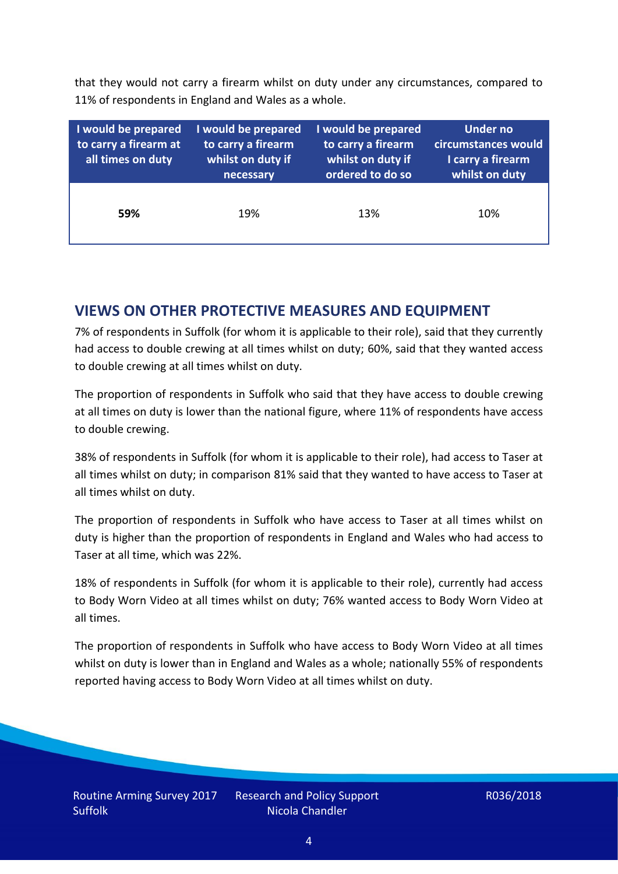that they would not carry a firearm whilst on duty under any circumstances, compared to 11% of respondents in England and Wales as a whole.

| I would be prepared<br>to carry a firearm at<br>all times on duty | I would be prepared<br>to carry a firearm<br>whilst on duty if<br>necessary | I would be prepared<br>to carry a firearm<br>whilst on duty if<br>ordered to do so | <b>Under no</b><br>circumstances would<br>I carry a firearm<br>whilst on duty |
|-------------------------------------------------------------------|-----------------------------------------------------------------------------|------------------------------------------------------------------------------------|-------------------------------------------------------------------------------|
| 59%                                                               | 19%                                                                         | 13%                                                                                | 10%                                                                           |

### **VIEWS ON OTHER PROTECTIVE MEASURES AND EQUIPMENT**

7% of respondents in Suffolk (for whom it is applicable to their role), said that they currently had access to double crewing at all times whilst on duty; 60%, said that they wanted access to double crewing at all times whilst on duty.

The proportion of respondents in Suffolk who said that they have access to double crewing at all times on duty is lower than the national figure, where 11% of respondents have access to double crewing.

38% of respondents in Suffolk (for whom it is applicable to their role), had access to Taser at all times whilst on duty; in comparison 81% said that they wanted to have access to Taser at all times whilst on duty.

The proportion of respondents in Suffolk who have access to Taser at all times whilst on duty is higher than the proportion of respondents in England and Wales who had access to Taser at all time, which was 22%.

18% of respondents in Suffolk (for whom it is applicable to their role), currently had access to Body Worn Video at all times whilst on duty; 76% wanted access to Body Worn Video at all times.

The proportion of respondents in Suffolk who have access to Body Worn Video at all times whilst on duty is lower than in England and Wales as a whole; nationally 55% of respondents reported having access to Body Worn Video at all times whilst on duty.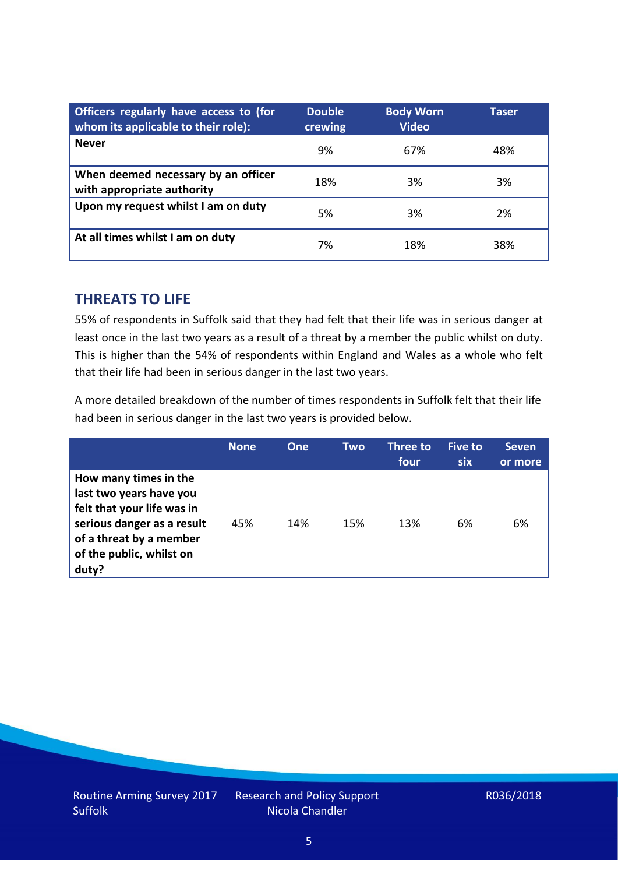| Officers regularly have access to (for<br>whom its applicable to their role): | <b>Double</b><br>crewing | <b>Body Worn</b><br><b>Video</b> | Taser |
|-------------------------------------------------------------------------------|--------------------------|----------------------------------|-------|
| <b>Never</b>                                                                  | 9%                       | 67%                              | 48%   |
| When deemed necessary by an officer<br>with appropriate authority             | 18%                      | 3%                               | 3%    |
| Upon my request whilst I am on duty                                           | 5%                       | 3%                               | 2%    |
| At all times whilst I am on duty                                              | 7%                       | 18%                              | 38%   |

#### **THREATS TO LIFE**

55% of respondents in Suffolk said that they had felt that their life was in serious danger at least once in the last two years as a result of a threat by a member the public whilst on duty. This is higher than the 54% of respondents within England and Wales as a whole who felt that their life had been in serious danger in the last two years.

A more detailed breakdown of the number of times respondents in Suffolk felt that their life had been in serious danger in the last two years is provided below.

|                                                                                                                                                                              | <b>None</b> | <b>One</b> | Two | <b>Three to</b><br>four | <b>Five to</b><br><b>six</b> | <b>Seven</b><br>or more |
|------------------------------------------------------------------------------------------------------------------------------------------------------------------------------|-------------|------------|-----|-------------------------|------------------------------|-------------------------|
| How many times in the<br>last two years have you<br>felt that your life was in<br>serious danger as a result<br>of a threat by a member<br>of the public, whilst on<br>duty? | 45%         | 14%        | 15% | 13%                     | 6%                           | 6%                      |

Research and Policy Support Nicola Chandler